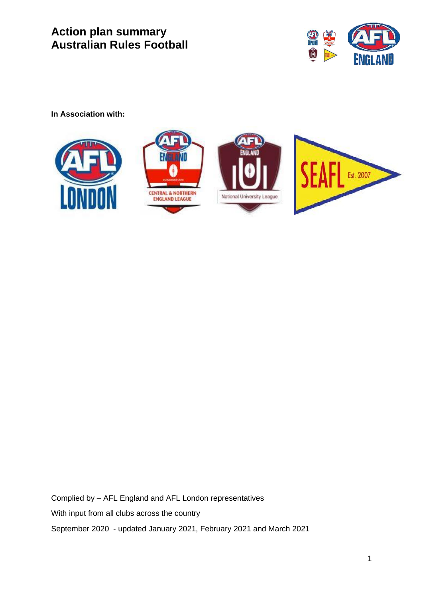

**In Association with:** 



Complied by – AFL England and AFL London representatives With input from all clubs across the country September 2020 - updated January 2021, February 2021 and March 2021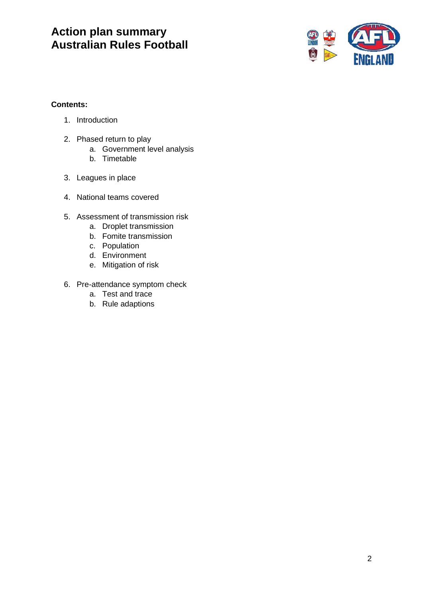

#### **Contents:**

- 1. Introduction
- 2. Phased return to play
	- a. Government level analysis
	- b. Timetable
- 3. Leagues in place
- 4. National teams covered
- 5. Assessment of transmission risk
	- a. Droplet transmission
	- b. Fomite transmission
	- c. Population
	- d. Environment
	- e. Mitigation of risk
- 6. Pre-attendance symptom check
	- a. Test and trace
	- b. Rule adaptions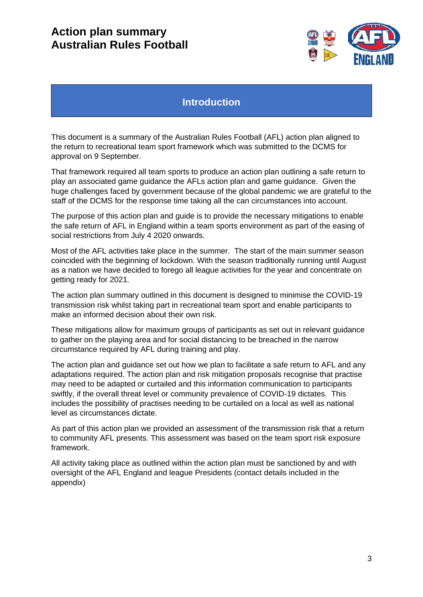

### **Introduction**

This document is a summary of the Australian Rules Football (AFL) action plan aligned to the return to recreational team sport framework which was submitted to the DCMS for approval on 9 September.

That framework required all team sports to produce an action plan outlining a safe return to play an associated game guidance the AFLs action plan and game guidance. Given the huge challenges faced by government because of the global pandemic we are grateful to the staff of the DCMS for the response time taking all the can circumstances into account.

The purpose of this action plan and guide is to provide the necessary mitigations to enable the safe return of AFL in England within a team sports environment as part of the easing of social restrictions from July 4 2020 onwards.

Most of the AFL activities take place in the summer. The start of the main summer season coincided with the beginning of lockdown. With the season traditionally running until August as a nation we have decided to forego all league activities for the year and concentrate on getting ready for 2021.

The action plan summary outlined in this document is designed to minimise the COVID-19 transmission risk whilst taking part in recreational team sport and enable participants to make an informed decision about their own risk.

These mitigations allow for maximum groups of participants as set out in relevant guidance to gather on the playing area and for social distancing to be breached in the narrow circumstance required by AFL during training and play.

The action plan and guidance set out how we plan to facilitate a safe return to AFL and any adaptations required. The action plan and risk mitigation proposals recognise that practise may need to be adapted or curtailed and this information communication to participants swiftly, if the overall threat level or community prevalence of COVID-19 dictates. This includes the possibility of practises needing to be curtailed on a local as well as national level as circumstances dictate.

As part of this action plan we provided an assessment of the transmission risk that a return to community AFL presents. This assessment was based on the team sport risk exposure framework.

All activity taking place as outlined within the action plan must be sanctioned by and with oversight of the AFL England and league Presidents (contact details included in the appendix)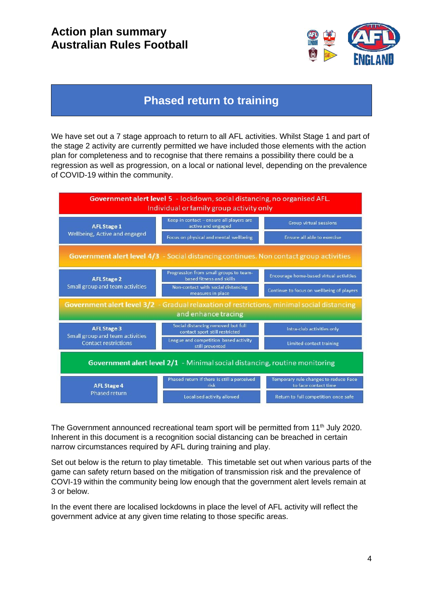

### **Phased return to training**

We have set out a 7 stage approach to return to all AFL activities. Whilst Stage 1 and part of the stage 2 activity are currently permitted we have included those elements with the action plan for completeness and to recognise that there remains a possibility there could be a regression as well as progression, on a local or national level, depending on the prevalence of COVID-19 within the community.



The Government announced recreational team sport will be permitted from 11<sup>th</sup> July 2020. Inherent in this document is a recognition social distancing can be breached in certain narrow circumstances required by AFL during training and play.

Set out below is the return to play timetable. This timetable set out when various parts of the game can safety return based on the mitigation of transmission risk and the prevalence of COVI-19 within the community being low enough that the government alert levels remain at 3 or below.

In the event there are localised lockdowns in place the level of AFL activity will reflect the government advice at any given time relating to those specific areas.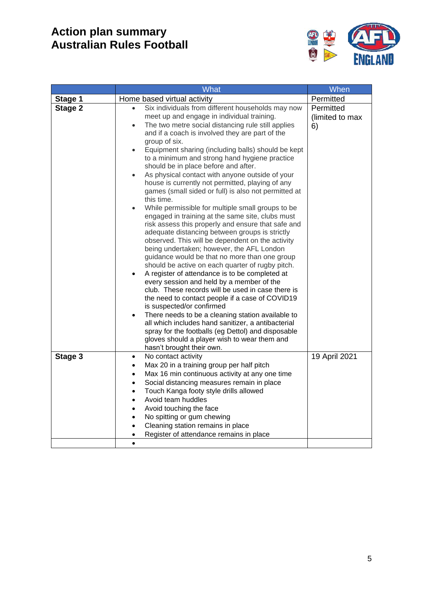

|         | <b>What</b>                                                                                                                                                                                                                                                                                                                                                                                                                                                                                                                                                                                                                                                                                                                                                                                                                                                                                                                                                                                                                                                                                                                                                                                                                                                                                                                                                                                                                                                                                                                     | When                               |
|---------|---------------------------------------------------------------------------------------------------------------------------------------------------------------------------------------------------------------------------------------------------------------------------------------------------------------------------------------------------------------------------------------------------------------------------------------------------------------------------------------------------------------------------------------------------------------------------------------------------------------------------------------------------------------------------------------------------------------------------------------------------------------------------------------------------------------------------------------------------------------------------------------------------------------------------------------------------------------------------------------------------------------------------------------------------------------------------------------------------------------------------------------------------------------------------------------------------------------------------------------------------------------------------------------------------------------------------------------------------------------------------------------------------------------------------------------------------------------------------------------------------------------------------------|------------------------------------|
| Stage 1 | Home based virtual activity                                                                                                                                                                                                                                                                                                                                                                                                                                                                                                                                                                                                                                                                                                                                                                                                                                                                                                                                                                                                                                                                                                                                                                                                                                                                                                                                                                                                                                                                                                     | Permitted                          |
| Stage 2 | Six individuals from different households may now<br>meet up and engage in individual training.<br>The two metre social distancing rule still applies<br>$\bullet$<br>and if a coach is involved they are part of the<br>group of six.<br>Equipment sharing (including balls) should be kept<br>$\bullet$<br>to a minimum and strong hand hygiene practice<br>should be in place before and after.<br>As physical contact with anyone outside of your<br>$\bullet$<br>house is currently not permitted, playing of any<br>games (small sided or full) is also not permitted at<br>this time.<br>While permissible for multiple small groups to be<br>$\bullet$<br>engaged in training at the same site, clubs must<br>risk assess this properly and ensure that safe and<br>adequate distancing between groups is strictly<br>observed. This will be dependent on the activity<br>being undertaken; however, the AFL London<br>guidance would be that no more than one group<br>should be active on each quarter of rugby pitch.<br>A register of attendance is to be completed at<br>every session and held by a member of the<br>club. These records will be used in case there is<br>the need to contact people if a case of COVID19<br>is suspected/or confirmed<br>There needs to be a cleaning station available to<br>$\bullet$<br>all which includes hand sanitizer, a antibacterial<br>spray for the footballs (eg Dettol) and disposable<br>gloves should a player wish to wear them and<br>hasn't brought their own. | Permitted<br>(limited to max<br>6) |
| Stage 3 | No contact activity<br>$\bullet$<br>Max 20 in a training group per half pitch<br>Max 16 min continuous activity at any one time<br>$\bullet$<br>Social distancing measures remain in place<br>$\bullet$<br>Touch Kanga footy style drills allowed<br>$\bullet$<br>Avoid team huddles<br>$\bullet$<br>Avoid touching the face<br>$\bullet$<br>No spitting or gum chewing<br>$\bullet$<br>Cleaning station remains in place<br>Register of attendance remains in place                                                                                                                                                                                                                                                                                                                                                                                                                                                                                                                                                                                                                                                                                                                                                                                                                                                                                                                                                                                                                                                            | 19 April 2021                      |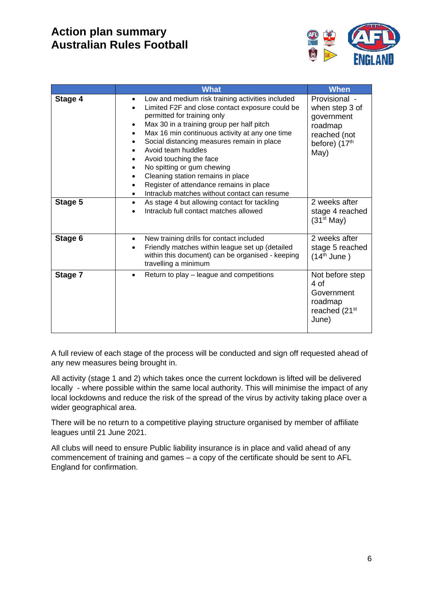

|         | <b>What</b>                                                                                                                                                                                                                                                                                                                                                                                                                                                                                                      | <b>When</b>                                                                                                   |
|---------|------------------------------------------------------------------------------------------------------------------------------------------------------------------------------------------------------------------------------------------------------------------------------------------------------------------------------------------------------------------------------------------------------------------------------------------------------------------------------------------------------------------|---------------------------------------------------------------------------------------------------------------|
| Stage 4 | Low and medium risk training activities included<br>$\bullet$<br>Limited F2F and close contact exposure could be<br>permitted for training only<br>Max 30 in a training group per half pitch<br>Max 16 min continuous activity at any one time<br>Social distancing measures remain in place<br>Avoid team huddles<br>Avoid touching the face<br>No spitting or gum chewing<br>Cleaning station remains in place<br>Register of attendance remains in place<br>Intraclub matches without contact can resume<br>٠ | Provisional -<br>when step 3 of<br>government<br>roadmap<br>reached (not<br>before) (17 <sup>th</sup><br>May) |
| Stage 5 | As stage 4 but allowing contact for tackling<br>$\bullet$<br>Intraclub full contact matches allowed                                                                                                                                                                                                                                                                                                                                                                                                              | 2 weeks after<br>stage 4 reached<br>(31 <sup>st</sup> May)                                                    |
| Stage 6 | New training drills for contact included<br>$\bullet$<br>Friendly matches within league set up (detailed<br>within this document) can be organised - keeping<br>travelling a minimum                                                                                                                                                                                                                                                                                                                             | 2 weeks after<br>stage 5 reached<br>$(14th$ June)                                                             |
| Stage 7 | Return to play – league and competitions                                                                                                                                                                                                                                                                                                                                                                                                                                                                         | Not before step<br>4 of<br>Government<br>roadmap<br>reached (21 <sup>st</sup><br>June)                        |

A full review of each stage of the process will be conducted and sign off requested ahead of any new measures being brought in.

All activity (stage 1 and 2) which takes once the current lockdown is lifted will be delivered locally - where possible within the same local authority. This will minimise the impact of any local lockdowns and reduce the risk of the spread of the virus by activity taking place over a wider geographical area.

There will be no return to a competitive playing structure organised by member of affiliate leagues until 21 June 2021.

All clubs will need to ensure Public liability insurance is in place and valid ahead of any commencement of training and games – a copy of the certificate should be sent to AFL England for confirmation.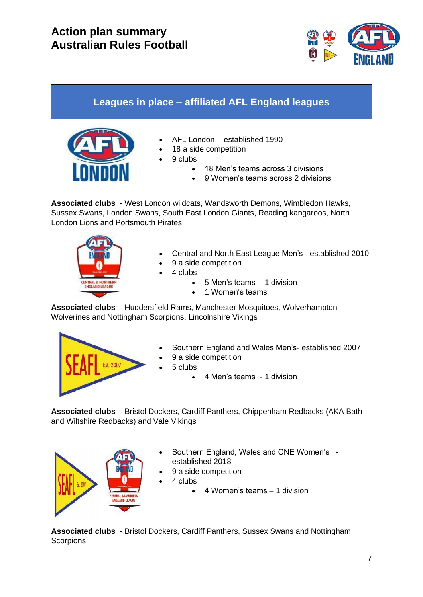

# **Leagues in place – affiliated AFL England leagues**



- AFL London established 1990
- 18 a side competition
- 9 clubs
	- 18 Men's teams across 3 divisions
	- 9 Women's teams across 2 divisions

**Associated clubs** - West London wildcats, Wandsworth Demons, Wimbledon Hawks, Sussex Swans, London Swans, South East London Giants, Reading kangaroos, North London Lions and Portsmouth Pirates



- Central and North East League Men's established 2010
- 9 a side competition
- 4 clubs
	- 5 Men's teams 1 division
	- 1 Women's teams

**Associated clubs** - Huddersfield Rams, Manchester Mosquitoes, Wolverhampton Wolverines and Nottingham Scorpions, Lincolnshire Vikings



- Southern England and Wales Men's- established 2007
- 9 a side competition
- 5 clubs
	- 4 Men's teams 1 division

**Associated clubs** - Bristol Dockers, Cardiff Panthers, Chippenham Redbacks (AKA Bath and Wiltshire Redbacks) and Vale Vikings



- Southern England, Wales and CNE Women's established 2018
- 9 a side competition
- 4 clubs
	- 4 Women's teams 1 division

**Associated clubs** - Bristol Dockers, Cardiff Panthers, Sussex Swans and Nottingham **Scorpions**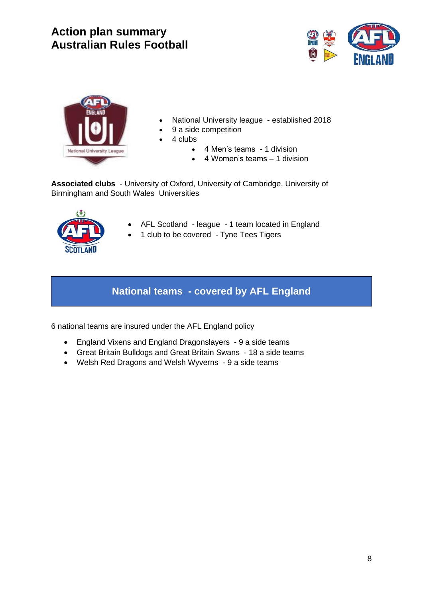



- National University league established 2018
- 9 a side competition
- 4 clubs
	- 4 Men's teams 1 division
	- 4 Women's teams 1 division

**Associated clubs** - University of Oxford, University of Cambridge, University of Birmingham and South Wales Universities



- AFL Scotland league 1 team located in England
	- 1 club to be covered Tyne Tees Tigers

### **National teams - covered by AFL England**

6 national teams are insured under the AFL England policy

- England Vixens and England Dragonslayers 9 a side teams
- Great Britain Bulldogs and Great Britain Swans 18 a side teams
- Welsh Red Dragons and Welsh Wyverns 9 a side teams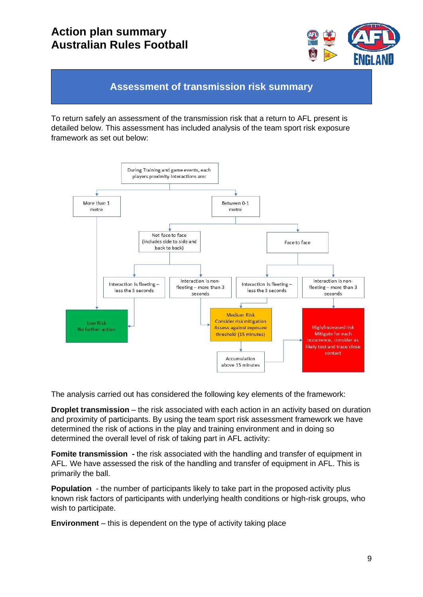

### **Assessment of transmission risk summary**

To return safely an assessment of the transmission risk that a return to AFL present is detailed below. This assessment has included analysis of the team sport risk exposure framework as set out below:



The analysis carried out has considered the following key elements of the framework:

**Droplet transmission** – the risk associated with each action in an activity based on duration and proximity of participants. By using the team sport risk assessment framework we have determined the risk of actions in the play and training environment and in doing so determined the overall level of risk of taking part in AFL activity:

**Fomite transmission -** the risk associated with the handling and transfer of equipment in AFL. We have assessed the risk of the handling and transfer of equipment in AFL. This is primarily the ball.

**Population** - the number of participants likely to take part in the proposed activity plus known risk factors of participants with underlying health conditions or high-risk groups, who wish to participate.

**Environment** – this is dependent on the type of activity taking place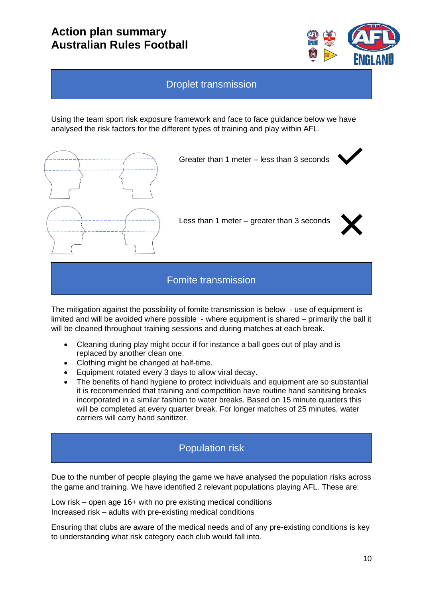

#### Droplet transmission

Using the team sport risk exposure framework and face to face guidance below we have analysed the risk factors for the different types of training and play within AFL.



Greater than 1 meter – less than 3 seconds

Less than 1 meter – greater than 3 seconds



### Fomite transmission

The mitigation against the possibility of fomite transmission is below - use of equipment is limited and will be avoided where possible - where equipment is shared – primarily the ball it will be cleaned throughout training sessions and during matches at each break.

- Cleaning during play might occur if for instance a ball goes out of play and is replaced by another clean one.
- Clothing might be changed at half-time.
- Equipment rotated every 3 days to allow viral decay.
- The benefits of hand hygiene to protect individuals and equipment are so substantial it is recommended that training and competition have routine hand sanitising breaks incorporated in a similar fashion to water breaks. Based on 15 minute quarters this will be completed at every quarter break. For longer matches of 25 minutes, water carriers will carry hand sanitizer.

### Population risk

Due to the number of people playing the game we have analysed the population risks across the game and training. We have identified 2 relevant populations playing AFL. These are:

Low risk – open age 16+ with no pre existing medical conditions Increased risk – adults with pre-existing medical conditions

Ensuring that clubs are aware of the medical needs and of any pre-existing conditions is key to understanding what risk category each club would fall into.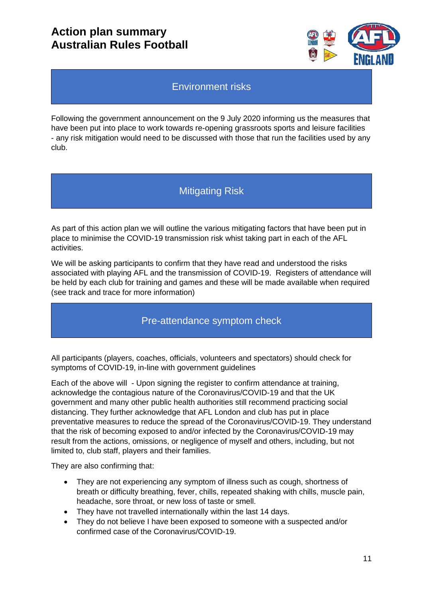

### Environment risks

Following the government announcement on the 9 July 2020 informing us the measures that have been put into place to work towards re-opening grassroots sports and leisure facilities - any risk mitigation would need to be discussed with those that run the facilities used by any club.

### Mitigating Risk

As part of this action plan we will outline the various mitigating factors that have been put in place to minimise the COVID-19 transmission risk whist taking part in each of the AFL activities.

We will be asking participants to confirm that they have read and understood the risks associated with playing AFL and the transmission of COVID-19. Registers of attendance will be held by each club for training and games and these will be made available when required (see track and trace for more information)

### Pre-attendance symptom check

All participants (players, coaches, officials, volunteers and spectators) should check for symptoms of COVID-19, in-line with government guidelines

Each of the above will - Upon signing the register to confirm attendance at training, acknowledge the contagious nature of the Coronavirus/COVID-19 and that the UK government and many other public health authorities still recommend practicing social distancing. They further acknowledge that AFL London and club has put in place preventative measures to reduce the spread of the Coronavirus/COVID-19. They understand that the risk of becoming exposed to and/or infected by the Coronavirus/COVID-19 may result from the actions, omissions, or negligence of myself and others, including, but not limited to, club staff, players and their families.

They are also confirming that:

- They are not experiencing any symptom of illness such as cough, shortness of breath or difficulty breathing, fever, chills, repeated shaking with chills, muscle pain, headache, sore throat, or new loss of taste or smell.
- They have not travelled internationally within the last 14 days.
- They do not believe I have been exposed to someone with a suspected and/or confirmed case of the Coronavirus/COVID-19.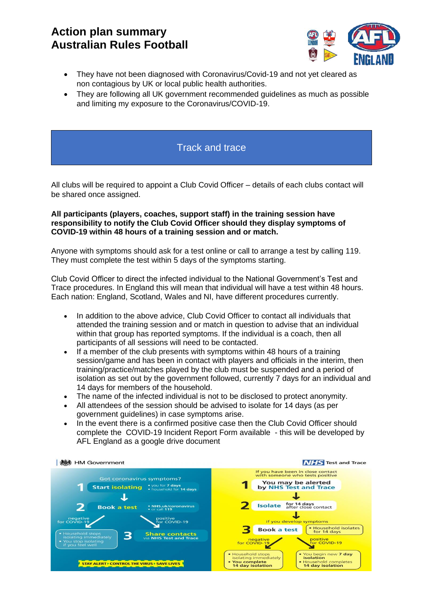

- They have not been diagnosed with Coronavirus/Covid-19 and not yet cleared as non contagious by UK or local public health authorities.
- They are following all UK government recommended guidelines as much as possible and limiting my exposure to the Coronavirus/COVID-19.

#### Track and trace

All clubs will be required to appoint a Club Covid Officer – details of each clubs contact will be shared once assigned.

#### **All participants (players, coaches, support staff) in the training session have responsibility to notify the Club Covid Officer should they display symptoms of COVID-19 within 48 hours of a training session and or match.**

Anyone with symptoms should ask for a test online or call to arrange a test by calling 119. They must complete the test within 5 days of the symptoms starting.

Club Covid Officer to direct the infected individual to the National Government's Test and Trace procedures. In England this will mean that individual will have a test within 48 hours. Each nation: England, Scotland, Wales and NI, have different procedures currently.

- In addition to the above advice, Club Covid Officer to contact all individuals that attended the training session and or match in question to advise that an individual within that group has reported symptoms. If the individual is a coach, then all participants of all sessions will need to be contacted.
- If a member of the club presents with symptoms within 48 hours of a training session/game and has been in contact with players and officials in the interim, then training/practice/matches played by the club must be suspended and a period of isolation as set out by the government followed, currently 7 days for an individual and 14 days for members of the household.
- The name of the infected individual is not to be disclosed to protect anonymity.
- All attendees of the session should be advised to isolate for 14 days (as per government guidelines) in case symptoms arise.
- In the event there is a confirmed positive case then the Club Covid Officer should complete the COVID-19 Incident Report Form available - this will be developed by AFL England as a google drive document